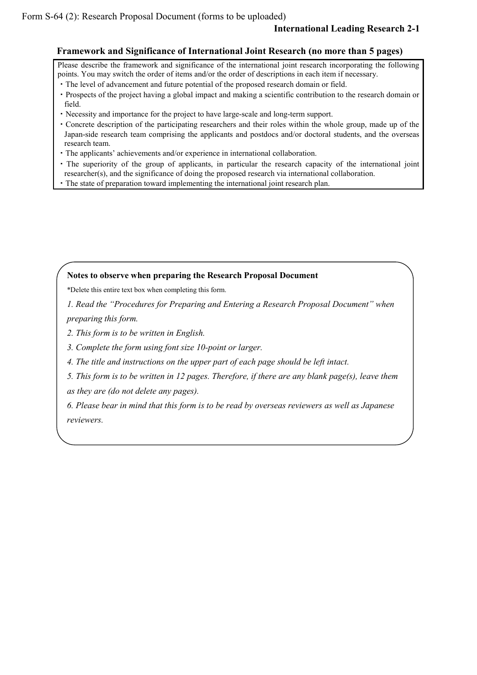## **Framework and Significance of International Joint Research (no more than 5 pages)**

Please describe the framework and significance of the international joint research incorporating the following points. You may switch the order of items and/or the order of descriptions in each item if necessary.

- ・The level of advancement and future potential of the proposed research domain or field.
- ・Prospects of the project having a global impact and making a scientific contribution to the research domain or field.
- ・Necessity and importance for the project to have large-scale and long-term support.
- ・Concrete description of the participating researchers and their roles within the whole group, made up of the Japan-side research team comprising the applicants and postdocs and/or doctoral students, and the overseas research team.
- ・The applicants' achievements and/or experience in international collaboration.
- ・The superiority of the group of applicants, in particular the research capacity of the international joint researcher(s), and the significance of doing the proposed research via international collaboration.
- ・The state of preparation toward implementing the international joint research plan.

## **Notes to observe when preparing the Research Proposal Document**

\*Delete this entire text box when completing this form.

*1. Read the "Procedures for Preparing and Entering a Research Proposal Document" when preparing this form.*

*2. This form is to be written in English.*

*3. Complete the form using font size 10-point or larger.*

*4. The title and instructions on the upper part of each page should be left intact.*

*5. This form is to be written in 12 pages. Therefore, if there are any blank page(s), leave them as they are (do not delete any pages).*

*6. Please bear in mind that this form is to be read by overseas reviewers as well as Japanese reviewers.*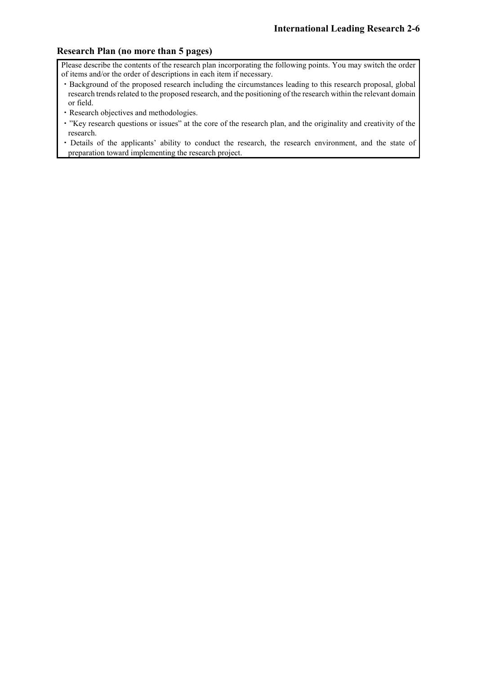## **Research Plan (no more than 5 pages)**

Please describe the contents of the research plan incorporating the following points. You may switch the order of items and/or the order of descriptions in each item if necessary.

- ・Background of the proposed research including the circumstances leading to this research proposal, global research trends related to the proposed research, and the positioning of the research within the relevant domain or field.
- ・Research objectives and methodologies.
- ・"Key research questions or issues" at the core of the research plan, and the originality and creativity of the research.
- ・Details of the applicants' ability to conduct the research, the research environment, and the state of preparation toward implementing the research project.